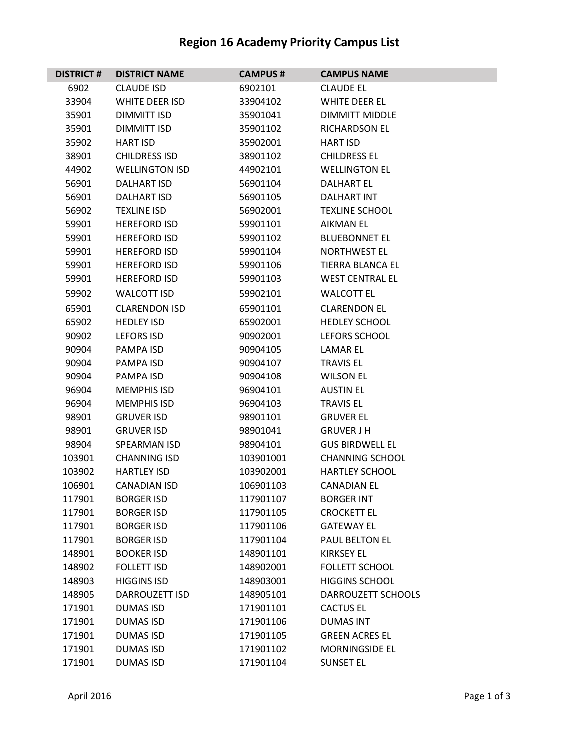## **Region 16 Academy Priority Campus List**

| <b>DISTRICT #</b> | <b>DISTRICT NAME</b>  | <b>CAMPUS#</b> | <b>CAMPUS NAME</b>        |
|-------------------|-----------------------|----------------|---------------------------|
| 6902              | <b>CLAUDE ISD</b>     | 6902101        | <b>CLAUDE EL</b>          |
| 33904             | <b>WHITE DEER ISD</b> | 33904102       | WHITE DEER EL             |
| 35901             | DIMMITT ISD           | 35901041       | <b>DIMMITT MIDDLE</b>     |
| 35901             | DIMMITT ISD           | 35901102       | <b>RICHARDSON EL</b>      |
| 35902             | <b>HART ISD</b>       | 35902001       | HART ISD                  |
| 38901             | <b>CHILDRESS ISD</b>  | 38901102       | <b>CHILDRESS EL</b>       |
| 44902             | <b>WELLINGTON ISD</b> | 44902101       | <b>WELLINGTON EL</b>      |
| 56901             | <b>DALHART ISD</b>    | 56901104       | <b>DALHART EL</b>         |
| 56901             | <b>DALHART ISD</b>    | 56901105       | DALHART INT               |
| 56902             | <b>TEXLINE ISD</b>    | 56902001       | <b>TEXLINE SCHOOL</b>     |
| 59901             | <b>HEREFORD ISD</b>   | 59901101       | AIKMAN EL                 |
| 59901             | <b>HEREFORD ISD</b>   | 59901102       | <b>BLUEBONNET EL</b>      |
| 59901             | <b>HEREFORD ISD</b>   | 59901104       | <b>NORTHWEST EL</b>       |
| 59901             | <b>HEREFORD ISD</b>   | 59901106       | <b>TIERRA BLANCA EL</b>   |
| 59901             | <b>HEREFORD ISD</b>   | 59901103       | <b>WEST CENTRAL EL</b>    |
| 59902             | <b>WALCOTT ISD</b>    | 59902101       | <b>WALCOTT EL</b>         |
| 65901             | <b>CLARENDON ISD</b>  | 65901101       | <b>CLARENDON EL</b>       |
| 65902             | <b>HEDLEY ISD</b>     | 65902001       | <b>HEDLEY SCHOOL</b>      |
| 90902             | <b>LEFORS ISD</b>     | 90902001       | LEFORS SCHOOL             |
| 90904             | <b>PAMPA ISD</b>      | 90904105       | LAMAR EL                  |
| 90904             | PAMPA ISD             | 90904107       | <b>TRAVIS EL</b>          |
| 90904             | PAMPA ISD             | 90904108       | <b>WILSON EL</b>          |
| 96904             | <b>MEMPHIS ISD</b>    | 96904101       | <b>AUSTIN EL</b>          |
| 96904             | <b>MEMPHIS ISD</b>    | 96904103       | <b>TRAVIS EL</b>          |
| 98901             | <b>GRUVER ISD</b>     | 98901101       | <b>GRUVER EL</b>          |
| 98901             | <b>GRUVER ISD</b>     | 98901041       | <b>GRUVER J H</b>         |
| 98904             | SPEARMAN ISD          | 98904101       | <b>GUS BIRDWELL EL</b>    |
| 103901            | <b>CHANNING ISD</b>   | 103901001      | <b>CHANNING SCHOOL</b>    |
| 103902            | <b>HARTLEY ISD</b>    | 103902001      | <b>HARTLEY SCHOOL</b>     |
| 106901            | <b>CANADIAN ISD</b>   | 106901103      | <b>CANADIAN EL</b>        |
| 117901            | <b>BORGER ISD</b>     | 117901107      | <b>BORGER INT</b>         |
| 117901            | <b>BORGER ISD</b>     | 117901105      | <b>CROCKETT EL</b>        |
| 117901            | <b>BORGER ISD</b>     | 117901106      | <b>GATEWAY EL</b>         |
| 117901            | <b>BORGER ISD</b>     | 117901104      | PAUL BELTON EL            |
| 148901            | <b>BOOKER ISD</b>     | 148901101      | <b>KIRKSEY EL</b>         |
| 148902            | <b>FOLLETT ISD</b>    | 148902001      | <b>FOLLETT SCHOOL</b>     |
| 148903            | <b>HIGGINS ISD</b>    | 148903001      | <b>HIGGINS SCHOOL</b>     |
| 148905            | <b>DARROUZETT ISD</b> | 148905101      | <b>DARROUZETT SCHOOLS</b> |
| 171901            | <b>DUMAS ISD</b>      | 171901101      | <b>CACTUS EL</b>          |
| 171901            | <b>DUMAS ISD</b>      | 171901106      | <b>DUMAS INT</b>          |
| 171901            | <b>DUMAS ISD</b>      | 171901105      | <b>GREEN ACRES EL</b>     |
| 171901            | <b>DUMAS ISD</b>      | 171901102      | MORNINGSIDE EL            |
| 171901            | <b>DUMAS ISD</b>      | 171901104      | <b>SUNSET EL</b>          |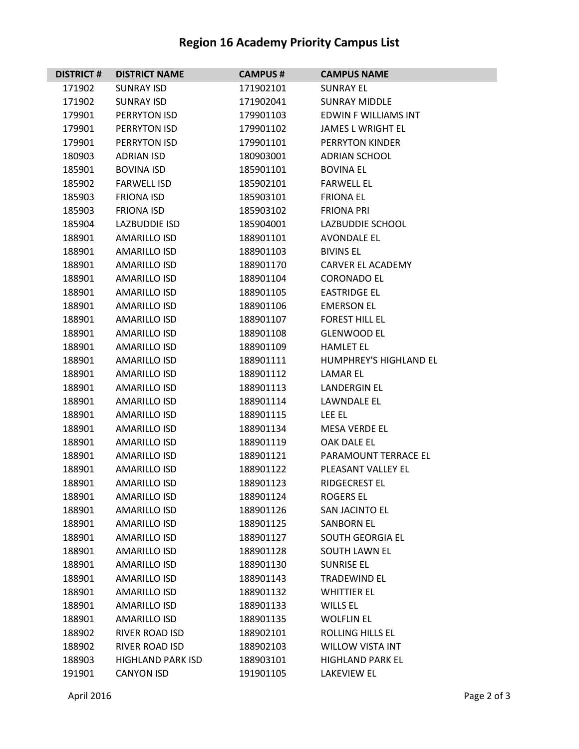## **Region 16 Academy Priority Campus List**

| <b>DISTRICT#</b> | <b>DISTRICT NAME</b>     | <b>CAMPUS#</b> | <b>CAMPUS NAME</b>            |
|------------------|--------------------------|----------------|-------------------------------|
| 171902           | <b>SUNRAY ISD</b>        | 171902101      | <b>SUNRAY EL</b>              |
| 171902           | <b>SUNRAY ISD</b>        | 171902041      | <b>SUNRAY MIDDLE</b>          |
| 179901           | PERRYTON ISD             | 179901103      | <b>EDWIN F WILLIAMS INT</b>   |
| 179901           | PERRYTON ISD             | 179901102      | <b>JAMES L WRIGHT EL</b>      |
| 179901           | PERRYTON ISD             | 179901101      | PERRYTON KINDER               |
| 180903           | <b>ADRIAN ISD</b>        | 180903001      | <b>ADRIAN SCHOOL</b>          |
| 185901           | <b>BOVINA ISD</b>        | 185901101      | <b>BOVINA EL</b>              |
| 185902           | <b>FARWELL ISD</b>       | 185902101      | <b>FARWELL EL</b>             |
| 185903           | <b>FRIONA ISD</b>        | 185903101      | <b>FRIONA EL</b>              |
| 185903           | <b>FRIONA ISD</b>        | 185903102      | <b>FRIONA PRI</b>             |
| 185904           | LAZBUDDIE ISD            | 185904001      | LAZBUDDIE SCHOOL              |
| 188901           | <b>AMARILLO ISD</b>      | 188901101      | <b>AVONDALE EL</b>            |
| 188901           | <b>AMARILLO ISD</b>      | 188901103      | <b>BIVINS EL</b>              |
| 188901           | <b>AMARILLO ISD</b>      | 188901170      | <b>CARVER EL ACADEMY</b>      |
| 188901           | <b>AMARILLO ISD</b>      | 188901104      | <b>CORONADO EL</b>            |
| 188901           | AMARILLO ISD             | 188901105      | <b>EASTRIDGE EL</b>           |
| 188901           | <b>AMARILLO ISD</b>      | 188901106      | <b>EMERSON EL</b>             |
| 188901           | <b>AMARILLO ISD</b>      | 188901107      | <b>FOREST HILL EL</b>         |
| 188901           | <b>AMARILLO ISD</b>      | 188901108      | <b>GLENWOOD EL</b>            |
| 188901           | <b>AMARILLO ISD</b>      | 188901109      | <b>HAMLET EL</b>              |
| 188901           | AMARILLO ISD             | 188901111      | <b>HUMPHREY'S HIGHLAND EL</b> |
| 188901           | <b>AMARILLO ISD</b>      | 188901112      | LAMAR EL                      |
| 188901           | <b>AMARILLO ISD</b>      | 188901113      | <b>LANDERGIN EL</b>           |
| 188901           | <b>AMARILLO ISD</b>      | 188901114      | LAWNDALE EL                   |
| 188901           | <b>AMARILLO ISD</b>      | 188901115      | LEE EL                        |
| 188901           | <b>AMARILLO ISD</b>      | 188901134      | <b>MESA VERDE EL</b>          |
| 188901           | <b>AMARILLO ISD</b>      | 188901119      | <b>OAK DALE EL</b>            |
| 188901           | <b>AMARILLO ISD</b>      | 188901121      | PARAMOUNT TERRACE EL          |
| 188901           | <b>AMARILLO ISD</b>      | 188901122      | PLEASANT VALLEY EL            |
| 188901           | <b>AMARILLO ISD</b>      | 188901123      | <b>RIDGECREST EL</b>          |
| 188901           | <b>AMARILLO ISD</b>      | 188901124      | <b>ROGERS EL</b>              |
| 188901           | AMARILLO ISD             | 188901126      | SAN JACINTO EL                |
| 188901           | <b>AMARILLO ISD</b>      | 188901125      | <b>SANBORN EL</b>             |
| 188901           | <b>AMARILLO ISD</b>      | 188901127      | SOUTH GEORGIA EL              |
| 188901           | <b>AMARILLO ISD</b>      | 188901128      | <b>SOUTH LAWN EL</b>          |
| 188901           | <b>AMARILLO ISD</b>      | 188901130      | <b>SUNRISE EL</b>             |
| 188901           | AMARILLO ISD             | 188901143      | <b>TRADEWIND EL</b>           |
| 188901           | <b>AMARILLO ISD</b>      | 188901132      | <b>WHITTIER EL</b>            |
| 188901           | <b>AMARILLO ISD</b>      | 188901133      | <b>WILLS EL</b>               |
| 188901           | <b>AMARILLO ISD</b>      | 188901135      | <b>WOLFLIN EL</b>             |
| 188902           | RIVER ROAD ISD           | 188902101      | <b>ROLLING HILLS EL</b>       |
| 188902           | RIVER ROAD ISD           | 188902103      | <b>WILLOW VISTA INT</b>       |
| 188903           | <b>HIGHLAND PARK ISD</b> | 188903101      | <b>HIGHLAND PARK EL</b>       |
| 191901           | <b>CANYON ISD</b>        | 191901105      | <b>LAKEVIEW EL</b>            |